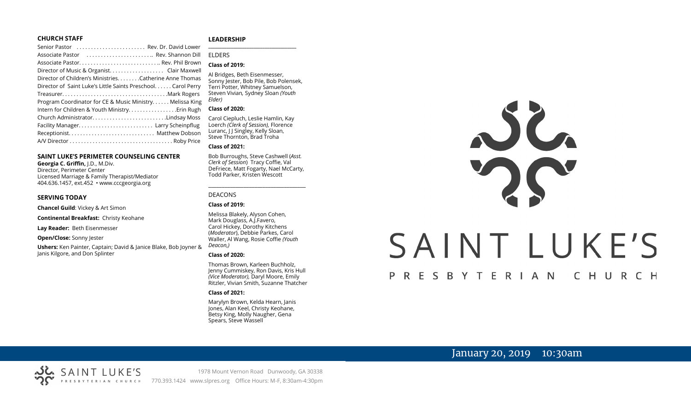#### **CHURCH STAFF**

| Senior Pastor  Rev. Dr. David Lower                          |
|--------------------------------------------------------------|
| Associate Pastor  Rev. Shannon Dill                          |
|                                                              |
| Director of Music & Organist. Clair Maxwell                  |
| Director of Children's Ministries. Catherine Anne Thomas     |
| Director of Saint Luke's Little Saints Preschool Carol Perry |
|                                                              |
| Program Coordinator for CE & Music Ministry Melissa King     |
|                                                              |
| Church AdministratorLindsay Moss                             |
|                                                              |
|                                                              |
|                                                              |
|                                                              |

#### **SAINT LUKE'S PERIMETER COUNSELING CENTER**

**Georgia C. Griffin,** J.D., M.Div. Director, Perimeter Center Licensed Marriage & Family Therapist/Mediator 404.636.1457, ext.452 • www.cccgeorgia.org

#### **SERVING TODAY**

**Chancel Guild**: Vickey & Art Simon

**Continental Breakfast:** Christy Keohane

**Lay Reader:** Beth Eisenmesser

**Open/Close:** Sonny Jester

**Ushers:** Ken Painter, Captain; David & Janice Blake, Bob Joyner & Janis Kilgore, and Don Splinter

#### **LEADERSHIP**

#### ELDERS

#### **Class of 2019:**

Al Bridges, Beth Eisenmesser, Sonny Jester, Bob Pile, Bob Polensek, Terri Potter, Whitney Samuelson, Steven Vivian*,* Sydney Sloan *(Youth Elder)*

**\_\_\_\_\_\_\_\_\_\_\_\_\_\_\_\_\_\_\_\_\_\_\_\_\_\_\_\_\_\_\_\_\_\_\_\_\_\_\_**

#### **Class of 2020:**

Carol Ciepluch, Leslie Hamlin, Kay Loerch *(Clerk of Session),* Florence Luranc, I J Singley, Kelly Sloan, Steve Thornton, Brad Troha

#### **Class of 2021:**

Bob Burroughs, Steve Cashwell (*Asst. Clerk of Session*) Tracy Coffie, Val DeFriece, Matt Fogarty, Nael McCarty, Todd Parker, Kristen Wescott

\_\_\_\_\_\_\_\_\_\_\_\_\_\_\_\_\_\_\_\_\_\_\_\_\_\_\_\_\_\_\_\_\_\_\_\_

#### DEACONS

**Class of 2019:**

Melissa Blakely, Alyson Cohen, Mark Douglass, A.J.Favero, Carol Hickey, Dorothy Kitchens (*Moderator*), Debbie Parkes, Carol Waller, Al Wang, Rosie Coffie *(Youth Deacon,)* 

#### **Class of 2020:**

Thomas Brown, Karleen Buchholz, Jenny Cummiskey, Ron Davis, Kris Hull *(Vice Moderator),* Daryl Moore, Emily Ritzler, Vivian Smith, Suzanne Thatcher

#### **Class of 2021:**

Marylyn Brown, Kelda Hearn, Janis Jones, Alan Keel, Christy Keohane, Betsy King, Molly Naugher, Gena Spears, Steve Wassell



# SAINT LUKE'S

#### P R E S B Y T E R I A N CHURCH

# January 20, 2019 10:30am

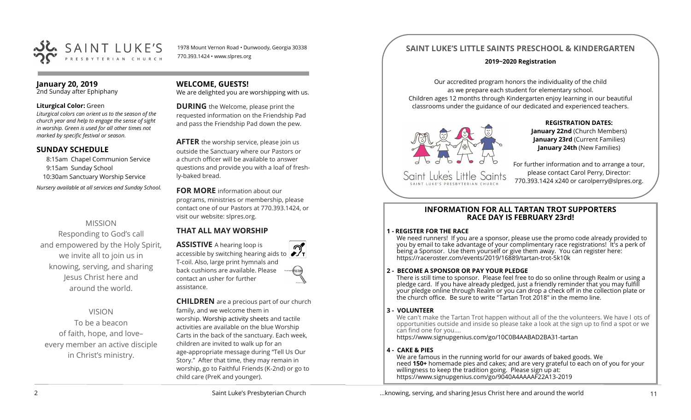

1978 Mount Vernon Road • Dunwoody, Georgia 30338 770.393.1424 • www.slpres.org

#### **January 20, 2019**

2nd Sunday after Ephiphany

#### **Liturgical Color:** Green

*Liturgical colors can orient us to the season of the church year and help to engage the sense of sight in worship. Green is used for all other times not marked by specific festival or season.*

#### **SUNDAY SCHEDULE**

8:15am Chapel Communion Service 9:15am Sunday School 10:30am Sanctuary Worship Service *Nursery available at all services and Sunday School.* 

# MISSION

Responding to God's call and empowered by the Holy Spirit, we invite all to join us in knowing, serving, and sharing Jesus Christ here and around the world.

# VISION

To be a beacon of faith, hope, and love– every member an active disciple in Christ's ministry.

## **WELCOME, GUESTS!**

We are delighted you are worshipping with us.

**DURING** the Welcome, please print the requested information on the Friendship Pad and pass the Friendship Pad down the pew.

**AFTER** the worship service, please join us outside the Sanctuary where our Pastors or a church officer will be available to answer questions and provide you with a loaf of freshly-baked bread.

**FOR MORE** information about our programs, ministries or membership, please contact one of our Pastors at 770.393.1424, or visit our website: slpres.org.

# **THAT ALL MAY WORSHIP**

**ASSISTIVE** A hearing loop is **ACCESSIBLE A NEART AND ACCESSIBLE DEPARTMENT AT ACCESSIBLE ACT** T-coil. Also, large print hymnals and back cushions are available. Please contact an usher for further assistance.

**CHILDREN** are a precious part of our church family, and we welcome them in worship. Worship activity sheets and tactile activities are available on the blue Worship Carts in the back of the sanctuary. Each week, children are invited to walk up for an age-appropriate message during "Tell Us Our Story." After that time, they may remain in worship, go to Faithful Friends (K-2nd) or go to child care (PreK and younger).

# **SAINT LUKE'S LITTLE SAINTS PRESCHOOL & KINDERGARTEN**

#### **2019~2020 Registration**

Our accredited program honors the individuality of the child as we prepare each student for elementary school. Children ages 12 months through Kindergarten enjoy learning in our beautiful classrooms under the guidance of our dedicated and experienced teachers.



**REGISTRATION DATES: January 22nd** (Church Members) **January 23rd** (Current Families) **January 24th** (New Families)

For further information and to arrange a tour, please contact Carol Perry, Director: 770.393.1424 x240 or [carolperry@slpres.org.](mailto:carolperry@slpres.org)

#### **INFORMATION FOR ALL TARTAN TROT SUPPORTERS RACE DAY IS FEBRUARY 23rd!**

#### **1 - REGISTER FOR THE RACE**

We need runners! If you are a sponsor, please use the promo code already provided to you by email to take advantage of your complimentary race registrations! It's a perk of being a Sponsor. Use them yourself or give them away. You can register here: [https://raceroster.com/events/2019/16889/tartan](https://raceroster.com/events/2019/16889/tartan-trot-5k10k)-trot-5k10k

#### **2 - BECOME A SPONSOR OR PAY YOUR PLEDGE**

There is still time to sponsor. Please feel free to do so online through Realm or using a pledge card. If you have already pledged, just a friendly reminder that you may fulfill your pledge online through Realm or you can drop a check off in the collection plate or the church office. Be sure to write "Tartan Trot 2018" in the memo line.

#### **3 - VOLUNTEER**

We can't make the Tartan Trot happen without all of the the volunteers. We have l ots of opportunities outside and inside so please take a look at the sign up to find a spot or we can find one for you....

[https://www.signupgenius.com/go/10C0B4AABAD2BA31](https://www.signupgenius.com/go/10C0B4AABAD2BA31-tartan)-tartan

#### **4 - CAKE & PIES**

We are famous in the running world for our awards of baked goods. We need **150+** homemade pies and cakes; and are very grateful to each on of you for your willingness to keep the tradition going. Please sign up at: [https://www.signupgenius.com/go/9040A4AAAAF22A13](https://www.signupgenius.com/go/9040A4AAAAF22A13-2019)-2019

...knowing, serving, and sharing Jesus Christ here and around the world 11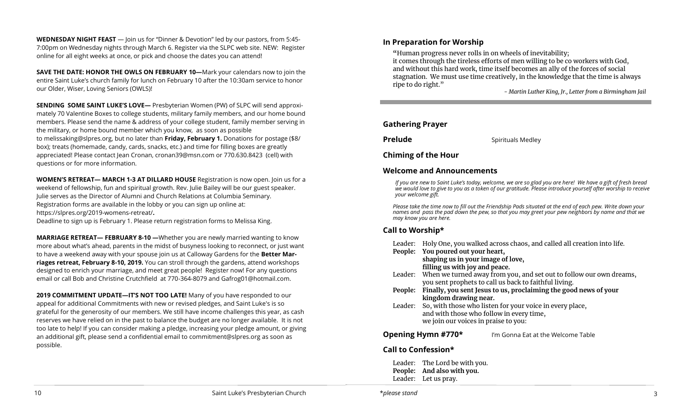**WEDNESDAY NIGHT FEAST** — Join us for "Dinner & Devotion" led by our pastors, from 5:45- 7:00pm on Wednesday nights through March 6. Register via the SLPC web site. NEW: Register online for all eight weeks at once, or pick and choose the dates you can attend!

**SAVE THE DATE: HONOR THE OWLS ON FEBRUARY 10—**Mark your calendars now to join the entire Saint Luke's church family for lunch on February 10 after the 10:30am service to honor our Older, Wiser, Loving Seniors (OWLS)!

**SENDING SOME SAINT LUKE'S LOVE—** Presbyterian Women (PW) of SLPC will send approximately 70 Valentine Boxes to college students, military family members, and our home bound members. Please send the name & address of your college student, family member serving in the military, or home bound member which you know, as soon as possible to melissakin[g@slpres.org,](mailto:lizcatlett@slpres.org) but no later than **Friday, February 1.** Donations for postage (\$8/ box); treats (homemade, candy, cards, snacks, etc.) and time for filling boxes are greatly appreciated! Please contact Jean Cronan, [cronan39@msn.com](mailto:cronan39@msn.com) or 770.630.8423 (cell) with questions or for more information.

**WOMEN'S RETREAT— MARCH 1-3 AT DILLARD HOUSE** Registration is now open. Join us for a weekend of fellowship, fun and spiritual growth. Rev. Julie Bailey will be our guest speaker. Julie serves as the Director of Alumni and Church Relations at Columbia Seminary. Registration forms are available in the lobby or you can sign up online at: [https://slpres.org/2019](https://slpres.org/2019-womens-retreat/)-womens-retreat/**.** 

Deadline to sign up is February 1. Please return registration forms to Melissa King.

**MARRIAGE RETREAT— FEBRUARY 8-10 —**Whether you are newly married wanting to know more about what's ahead, parents in the midst of busyness looking to reconnect, or just want to have a weekend away with your spouse join us at Calloway Gardens for the **Better Marriages retreat, February 8-10, 2019.** You can stroll through the gardens, attend workshops designed to enrich your marriage, and meet great people! Register now! For any questions email or call Bob and Christine Crutchfield at 770-364-8079 and [Gafrog01@hotmail.com.](mailto:Gafrog01@hotmail.com)

**2019 COMMITMENT UPDATE—IT'S NOT TOO LATE!** Many of you have responded to our appeal for additional Commitments with new or revised pledges, and Saint Luke's is so grateful for the generosity of our members. We still have income challenges this year, as cash reserves we have relied on in the past to balance the budget are no longer available. It is not too late to help! If you can consider making a pledge, increasing your pledge amount, or giving an additional gift, please send a confidential email to commitment@slpres.org as soon as possible.

#### **In Preparation for Worship**

**"**Human progress never rolls in on wheels of inevitability; it comes through the tireless efforts of men willing to be co workers with God, and without this hard work, time itself becomes an ally of the forces of social stagnation. We must use time creatively, in the knowledge that the time is always ripe to do right."

*- Martin Luther King, Jr., Letter from a Birmingham Jail*

#### **Gathering Prayer**

**Prelude** Spirituals Medley

#### **Chiming of the Hour**

#### **Welcome and Announcements**

*If you are new to Saint Luke's today, welcome, we are so glad you are here! We have a gift of fresh bread we would love to give to you as a token of our gratitude. Please introduce yourself after worship to receive your welcome gift.*

*Please take the time now to fill out the Friendship Pads situated at the end of each pew. Write down your names and pass the pad down the pew, so that you may greet your pew neighbors by name and that we may know you are here.*

# **Call to Worship\***

**People: You poured out your heart, shaping us in your image of love,**

 **filling us with joy and peace.**

- Leader: When we turned away from you, and set out to follow our own dreams, you sent prophets to call us back to faithful living.
- **People: Finally, you sent Jesus to us, proclaiming the good news of your kingdom drawing near.**
- Leader: So, with those who listen for your voice in every place, and with those who follow in every time, we join our voices in praise to you:

**Opening Hymn #770\*** I'm Gonna Eat at the Welcome Table

# **Call to Confession\***

Leader: The Lord be with you. **People: And also with you.**  Leader: Let us pray.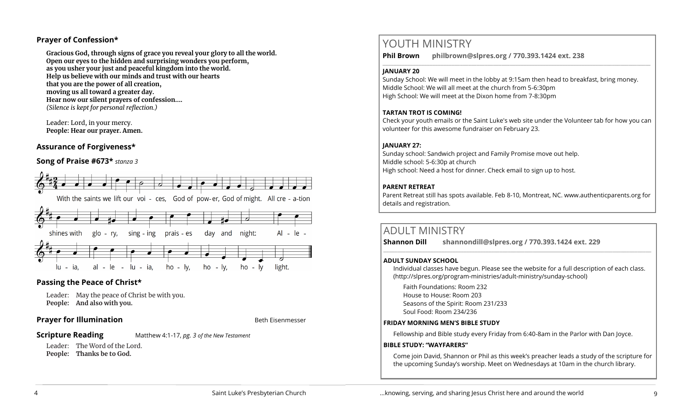# **Prayer of Confession\***

**Gracious God, through signs of grace you reveal your glory to all the world. Open our eyes to the hidden and surprising wonders you perform, as you usher your just and peaceful kingdom into the world. Help us believe with our minds and trust with our hearts that you are the power of all creation, moving us all toward a greater day. Hear now our silent prayers of confession....**  *(Silence is kept for personal reflection.)*

Leader: Lord, in your mercy. **People: Hear our prayer. Amen.**

# **Assurance of Forgiveness\***

# **Song of Praise #673\*** *stanza 3*



# **Passing the Peace of Christ\***

Leader: May the peace of Christ be with you. **People: And also with you.** 

# **Prayer for Illumination Beth Eisenmesser Beth Eisenmesser**

#### **Scripture Reading** Matthew 4:1-17, *pg. 3 of the New Testament*

Leader: The Word of the Lord. **People: Thanks be to God.** 

# YOUTH MINISTRY

**Phil Brown philbrown@slpres.org / 770.393.1424 ext. 238** 

#### **JANUARY 20**

Sunday School: We will meet in the lobby at 9:15am then head to breakfast, bring money. Middle School: We will all meet at the church from 5-6:30pm High School: We will meet at the Dixon home from 7-8:30pm

# **TARTAN TROT IS COMING!**

Check your youth emails or the Saint Luke's web site under the Volunteer tab for how you can volunteer for this awesome fundraiser on February 23.

 $\_$  ,  $\_$  ,  $\_$  ,  $\_$  ,  $\_$  ,  $\_$  ,  $\_$  ,  $\_$  ,  $\_$  ,  $\_$  ,  $\_$  ,  $\_$  ,  $\_$  ,  $\_$  ,  $\_$  ,  $\_$  ,  $\_$  ,  $\_$  ,  $\_$  ,  $\_$ 

#### **JANUARY 27:**

Sunday school: Sandwich project and Family Promise move out help. Middle school: 5-6:30p at church High school: Need a host for dinner. Check email to sign up to host.

# **PARENT RETREAT**

Parent Retreat still has spots available. Feb 8-10, Montreat, NC. [www.authenticparents.org](http://www.authenticparents.org) for details and registration.

# ADULT MINISTRY

**Shannon Dill shannondill@slpres.org / 770.393.1424 ext. 229**   $\_$  ,  $\_$  ,  $\_$  ,  $\_$  ,  $\_$  ,  $\_$  ,  $\_$  ,  $\_$  ,  $\_$  ,  $\_$  ,  $\_$  ,  $\_$  ,  $\_$  ,  $\_$  ,  $\_$  ,  $\_$  ,  $\_$  ,  $\_$  ,  $\_$ 

#### **ADULT SUNDAY SCHOOL**

Individual classes have begun. Please see the website for a full description of each class. (http://slpres.org/program-ministries/adult-ministry/sunday-school)

Faith Foundations: Room 232 House to House: Room 203 Seasons of the Spirit: Room 231/233 Soul Food: Room 234/236

# **FRIDAY MORNING MEN'S BIBLE STUDY**

Fellowship and Bible study every Friday from 6:40-8am in the Parlor with Dan Joyce.

#### **BIBLE STUDY: "WAYFARERS"**

Come join David, Shannon or Phil as this week's preacher leads a study of the scripture for the upcoming Sunday's worship. Meet on Wednesdays at 10am in the church library.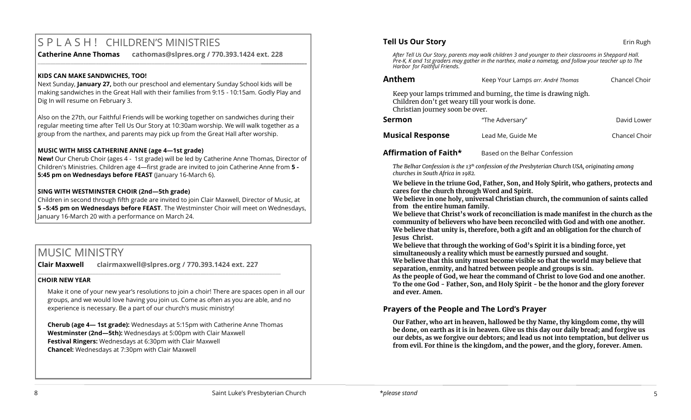# S P L A S H ! CHILDREN'S MINISTRIES

**Catherine Anne Thomas cathomas@slpres.org / 770.393.1424 ext. 228** 

#### **KIDS CAN MAKE SANDWICHES, TOO!**

Next Sunday, **January 27,** both our preschool and elementary Sunday School kids will be making sandwiches in the Great Hall with their families from 9:15 - 10:15am. Godly Play and Dig In will resume on February 3.

**\_\_\_\_\_\_\_\_\_\_\_\_\_\_\_\_\_\_\_\_\_\_\_\_\_\_\_\_\_\_\_\_\_\_\_\_\_\_\_\_\_\_\_\_\_\_\_\_\_\_\_\_\_\_\_\_\_\_\_\_\_\_\_\_\_\_\_\_\_\_\_\_\_\_\_\_\_\_\_\_\_\_\_\_\_\_\_\_\_\_\_\_\_\_\_\_\_\_\_\_\_\_\_\_\_\_** 

Also on the 27th, our Faithful Friends will be working together on sandwiches during their regular meeting time after Tell Us Our Story at 10:30am worship. We will walk together as a group from the narthex, and parents may pick up from the Great Hall after worship.

#### **MUSIC WITH MISS CATHERINE ANNE (age 4—1st grade)**

**New!** Our Cherub Choir (ages 4 - 1st grade) will be led by Catherine Anne Thomas, Director of Children's Ministries. Children age 4—first grade are invited to join Catherine Anne from **5 - 5:45 pm on Wednesdays before FEAST** (January 16-March 6).

#### **SING WITH WESTMINSTER CHOIR (2nd—5th grade)**

Children in second through fifth grade are invited to join Clair Maxwell, Director of Music, at **5 –5:45 pm on Wednesdays before FEAST**. The Westminster Choir will meet on Wednesdays, January 16-March 20 with a performance on March 24.

# MUSIC MINISTRY

**Clair Maxwell clairmaxwell@slpres.org / 770.393.1424 ext. 227** 

\_\_\_\_\_\_\_\_\_\_\_\_\_\_\_\_\_\_\_\_\_\_\_\_\_\_\_\_\_\_\_\_\_\_\_\_\_\_\_\_\_\_\_\_\_\_\_\_\_\_\_\_\_\_\_\_\_\_\_\_\_\_\_\_\_\_\_\_\_\_\_\_\_\_\_\_\_\_\_\_\_\_\_\_\_\_\_\_

#### **CHOIR NEW YEAR**

Make it one of your new year's resolutions to join a choir! There are spaces open in all our groups, and we would love having you join us. Come as often as you are able, and no experience is necessary. Be a part of our church's music ministry!

**Cherub (age 4— 1st grade):** Wednesdays at 5:15pm with Catherine Anne Thomas **Westminster (2nd—5th):** Wednesdays at 5:00pm with Clair Maxwell **Festival Ringers:** Wednesdays at 6:30pm with Clair Maxwell **Chancel:** Wednesdays at 7:30pm with Clair Maxwell

*After Tell Us Our Story, parents may walk children 3 and younger to their classrooms in Sheppard Hall. Pre-K, K and 1st graders may gather in the narthex, make a nametag, and follow your teacher up to The Harbor for Faithful Friends.*

| Anthem                          | Keep Your Lamps arr. André Thomas                                                                                  | Chancel Choir |
|---------------------------------|--------------------------------------------------------------------------------------------------------------------|---------------|
| Christian journey soon be over. | Keep your lamps trimmed and burning, the time is drawing nigh.<br>Children don't get weary till your work is done. |               |
| Sermon                          | "The Adversary"                                                                                                    | David Lower   |

| <b>Musical Response</b> | Lead Me, Guide Me | <b>Chancel Choir</b> |
|-------------------------|-------------------|----------------------|

**Affirmation of Faith\*** Based on the Belhar Confession

*The Belhar Confession is the 13th confession of the Presbyterian Church USA, originating among churches in South Africa in 1982.*

**We believe in the triune God, Father, Son, and Holy Spirit, who gathers, protects and cares for the church through Word and Spirit.**

**We believe in one holy, universal Christian church, the communion of saints called from the entire human family.**

**We believe that Christ's work of reconciliation is made manifest in the church as the community of believers who have been reconciled with God and with one another. We believe that unity is, therefore, both a gift and an obligation for the church of Jesus Christ.**

**We believe that through the working of God's Spirit it is a binding force, yet simultaneously a reality which must be earnestly pursued and sought. We believe that this unity must become visible so that the world may believe that separation, enmity, and hatred between people and groups is sin.**

**As the people of God, we hear the command of Christ to love God and one another. To the one God - Father, Son, and Holy Spirit - be the honor and the glory forever and ever. Amen.** 

# **Prayers of the People and The Lord's Prayer**

**Our Father, who art in heaven, hallowed be thy Name, thy kingdom come, thy will be done, on earth as it is in heaven. Give us this day our daily bread; and forgive us our debts, as we forgive our debtors; and lead us not into temptation, but deliver us from evil. For thine is the kingdom, and the power, and the glory, forever. Amen.**